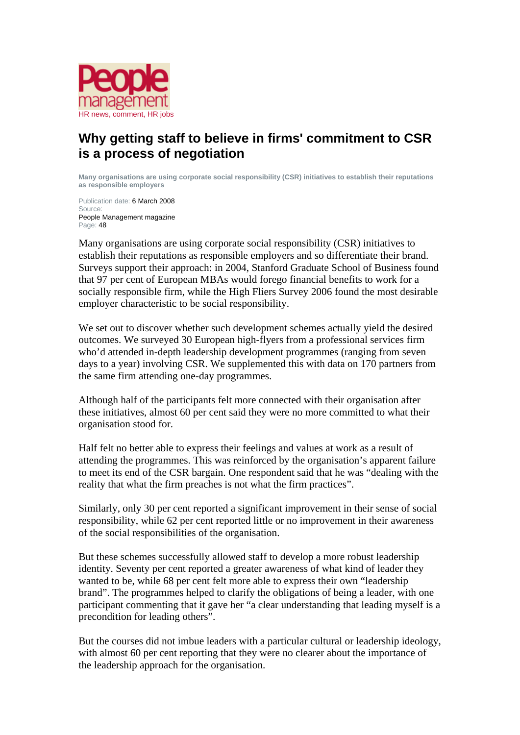

## **Why getting staff to believe in firms' commitment to CSR is a process of negotiation**

**Many organisations are using corporate social responsibility (CSR) initiatives to establish their reputations as responsible employers** 

Publication date: 6 March 2008 Source: People Management magazine Page: 48

Many organisations are using corporate social responsibility (CSR) initiatives to establish their reputations as responsible employers and so differentiate their brand. Surveys support their approach: in 2004, Stanford Graduate School of Business found that 97 per cent of European MBAs would forego financial benefits to work for a socially responsible firm, while the High Fliers Survey 2006 found the most desirable employer characteristic to be social responsibility.

We set out to discover whether such development schemes actually yield the desired outcomes. We surveyed 30 European high-flyers from a professional services firm who'd attended in-depth leadership development programmes (ranging from seven days to a year) involving CSR. We supplemented this with data on 170 partners from the same firm attending one-day programmes.

Although half of the participants felt more connected with their organisation after these initiatives, almost 60 per cent said they were no more committed to what their organisation stood for.

Half felt no better able to express their feelings and values at work as a result of attending the programmes. This was reinforced by the organisation's apparent failure to meet its end of the CSR bargain. One respondent said that he was "dealing with the reality that what the firm preaches is not what the firm practices".

Similarly, only 30 per cent reported a significant improvement in their sense of social responsibility, while 62 per cent reported little or no improvement in their awareness of the social responsibilities of the organisation.

But these schemes successfully allowed staff to develop a more robust leadership identity. Seventy per cent reported a greater awareness of what kind of leader they wanted to be, while 68 per cent felt more able to express their own "leadership brand". The programmes helped to clarify the obligations of being a leader, with one participant commenting that it gave her "a clear understanding that leading myself is a precondition for leading others".

But the courses did not imbue leaders with a particular cultural or leadership ideology, with almost 60 per cent reporting that they were no clearer about the importance of the leadership approach for the organisation.